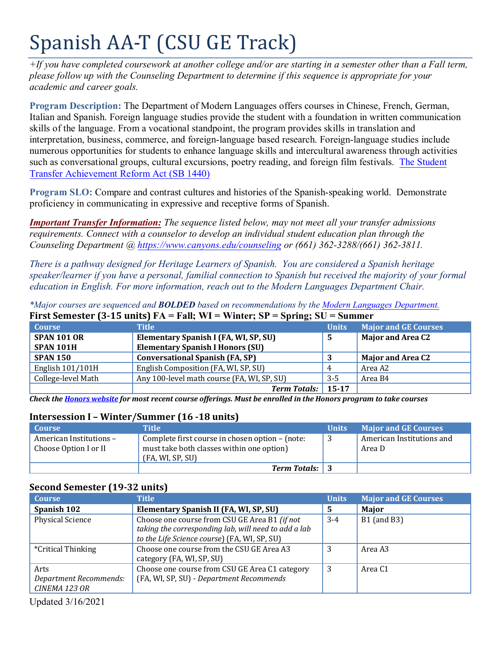# Spanish AA-T (CSU GE Track)

*+If you have completed coursework at another college and/or are starting in a semester other than a Fall term, please follow up with the Counseling Department to determine if this sequence is appropriate for your academic and career goals.* 

**Program Description:** The Department of Modern Languages offers courses in Chinese, French, German, Italian and Spanish. Foreign language studies provide the student with a foundation in written communication skills of the language. From a vocational standpoint, the program provides skills in translation and interpretation, business, commerce, and foreign-language based research. Foreign-language studies include numerous opportunities for students to enhance language skills and intercultural awareness through activities such as conversational groups, cultural excursions, poetry reading, and foreign film festivals. [The Student](https://www2.calstate.edu/apply/transfer/Pages/ccc-associate-degree-for-transfer.aspx)  [Transfer Achievement Reform Act \(SB 1440\)](https://www2.calstate.edu/apply/transfer/Pages/ccc-associate-degree-for-transfer.aspx) 

**Program SLO:** Compare and contrast cultures and histories of the Spanish-speaking world. Demonstrate proficiency in communicating in expressive and receptive forms of Spanish.

*Important Transfer Information: The sequence listed below, may not meet all your transfer admissions requirements. Connect with a counselor to develop an individual student education plan through the Counseling Department @<https://www.canyons.edu/counseling> or (661) 362-3288/(661) 362-3811.* 

*There is a pathway designed for Heritage Learners of Spanish. You are considered a Spanish heritage speaker/learner if you have a personal, familial connection to Spanish but received the majority of your formal education in English. For more information, reach out to the Modern Languages Department Chair.* 

| <b>Course</b>      | THE VEHICLE IS TO UNICOUT THE TAIL, WE WHICH, SI<br>$v$ pring, $v$ u<br><b>Title</b> | ришше<br><b>Units</b> | <b>Major and GE Courses</b> |
|--------------------|--------------------------------------------------------------------------------------|-----------------------|-----------------------------|
| <b>SPAN 101 OR</b> | Elementary Spanish I (FA, WI, SP, SU)                                                | 5                     | <b>Major and Area C2</b>    |
| SPAN 101H          | <b>Elementary Spanish I Honors (SU)</b>                                              |                       |                             |
| <b>SPAN 150</b>    | <b>Conversational Spanish (FA, SP)</b>                                               |                       | <b>Major and Area C2</b>    |
| English 101/101H   | English Composition (FA, WI, SP, SU)                                                 | 4                     | Area A2                     |
| College-level Math | Any 100-level math course (FA, WI, SP, SU)                                           | $3 - 5$               | Area B4                     |
|                    | <b>Term Totals:</b>                                                                  | $15 - 17$             |                             |

*\*Major courses are sequenced and BOLDED based on recommendations by th[e Modern Languages Department.](https://www.canyons.edu/academics/languages/)*  **First Semester (3-15 units) FA = Fall; WI = Winter; SP = Spring; SU = Summer** 

 *Check the [Honors website f](https://www.canyons.edu/academics/honors/index.php)or most recent course offerings. Must be enrolled in the Honors program to take courses* 

### **Intersession I – Winter/Summer (16 -18 units)**

| <b>Course</b>                                    | <b>Title</b>                                                                                                     | <b>Units</b> | <b>Major and GE Courses</b>         |
|--------------------------------------------------|------------------------------------------------------------------------------------------------------------------|--------------|-------------------------------------|
| American Institutions -<br>Choose Option I or II | Complete first course in chosen option – (note:<br>must take both classes within one option)<br>(FA, WI, SP, SU) |              | American Institutions and<br>Area D |
|                                                  | <b>Term Totals:</b> 3                                                                                            |              |                                     |

## **Second Semester (19-32 units)**

| <b>Course</b>                                   | Title                                                                                                                                                 | <b>Units</b> | <b>Major and GE Courses</b> |
|-------------------------------------------------|-------------------------------------------------------------------------------------------------------------------------------------------------------|--------------|-----------------------------|
| Spanish 102                                     | Elementary Spanish II (FA, WI, SP, SU)                                                                                                                | 5            | Major                       |
| Physical Science                                | Choose one course from CSU GE Area B1 (if not<br>taking the corresponding lab, will need to add a lab<br>to the Life Science course) (FA, WI, SP, SU) | $3-4$        | $B1$ (and B3)               |
| <i>*</i> Critical Thinking                      | Choose one course from the CSU GE Area A3<br>category (FA, WI, SP, SU)                                                                                |              | Area A3                     |
| Arts<br>Department Recommends:<br>CINEMA 123 OR | Choose one course from CSU GE Area C1 category<br>(FA, WI, SP, SU) - Department Recommends                                                            | 3            | Area C <sub>1</sub>         |

Updated 3/16/2021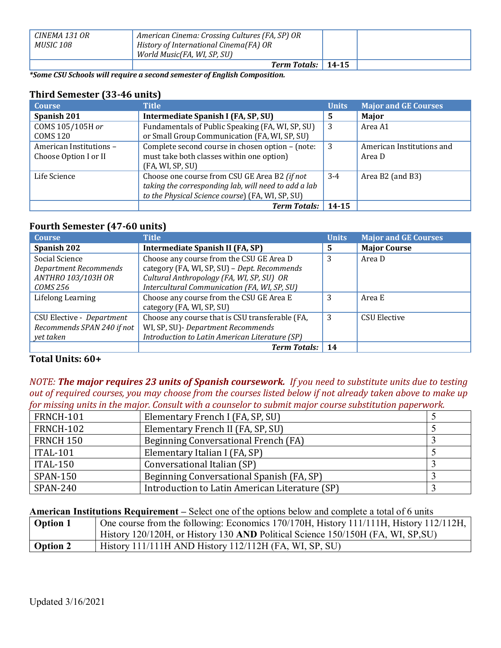| CINEMA 131 OR<br>MUSIC 108 | American Cinema: Crossing Cultures (FA, SP) OR<br>History of International Cinema(FA) OR |  |
|----------------------------|------------------------------------------------------------------------------------------|--|
|                            | World Music(FA, WI, SP, SU)                                                              |  |
|                            | Term Totals: 14-15                                                                       |  |

 *\*Some CSU Schools will require a second semester of English Composition.* 

# **Third Semester (33-46 units)**

| <b>Course</b>                                    | <b>Title</b>                                                                                                                                              | <b>Units</b> | <b>Major and GE Courses</b>         |
|--------------------------------------------------|-----------------------------------------------------------------------------------------------------------------------------------------------------------|--------------|-------------------------------------|
| Spanish 201                                      | Intermediate Spanish I (FA, SP, SU)                                                                                                                       | 5.           | Major                               |
| COMS 105/105H or<br><b>COMS 120</b>              | Fundamentals of Public Speaking (FA, WI, SP, SU)<br>or Small Group Communication (FA, WI, SP, SU)                                                         | 3            | Area A1                             |
| American Institutions -<br>Choose Option I or II | Complete second course in chosen option - (note:<br>must take both classes within one option)<br>(FA, WI, SP, SU)                                         | 3            | American Institutions and<br>Area D |
| Life Science                                     | Choose one course from CSU GE Area B2 (if not<br>taking the corresponding lab, will need to add a lab<br>to the Physical Science course) (FA, WI, SP, SU) | $3-4$        | Area $B2$ (and $B3$ )               |
|                                                  | <b>Term Totals:</b>                                                                                                                                       | 14-15        |                                     |

#### **Fourth Semester (47-60 units)**

| <b>Course</b>              | <b>Title</b>                                    | <b>Units</b> | <b>Major and GE Courses</b> |
|----------------------------|-------------------------------------------------|--------------|-----------------------------|
| Spanish 202                | Intermediate Spanish II (FA, SP)                | 5.           | <b>Major Course</b>         |
| Social Science             | Choose any course from the CSU GE Area D        | 3            | Area D                      |
| Department Recommends      | category (FA, WI, SP, SU) - Dept. Recommends    |              |                             |
| ANTHRO 103/103H OR         | Cultural Anthropology (FA, WI, SP, SU) OR       |              |                             |
| COMS 256                   | Intercultural Communication (FA, WI, SP, SU)    |              |                             |
| Lifelong Learning          | Choose any course from the CSU GE Area E        | 3            | Area E                      |
|                            | category (FA, WI, SP, SU)                       |              |                             |
| CSU Elective - Department  | Choose any course that is CSU transferable (FA, | 3            | <b>CSU Elective</b>         |
| Recommends SPAN 240 if not | WI, SP, SU) - Department Recommends             |              |                             |
| yet taken                  | Introduction to Latin American Literature (SP)  |              |                             |
|                            | <b>Term Totals:</b>                             | 14           |                             |

# **Total Units: 60+**

 *NOTE: The major requires 23 units of Spanish coursework. If you need to substitute units due to testing out of required courses, you may choose from the courses listed below if not already taken above to make up for missing units in the major. Consult with a counselor to submit major course substitution paperwork.* 

| FRNCH-101        | Elementary French I (FA, SP, SU)               |  |
|------------------|------------------------------------------------|--|
| FRNCH-102        | Elementary French II (FA, SP, SU)              |  |
| <b>FRNCH 150</b> | Beginning Conversational French (FA)           |  |
| <b>ITAL-101</b>  | Elementary Italian I (FA, SP)                  |  |
| <b>ITAL-150</b>  | Conversational Italian (SP)                    |  |
| <b>SPAN-150</b>  | Beginning Conversational Spanish (FA, SP)      |  |
| <b>SPAN-240</b>  | Introduction to Latin American Literature (SP) |  |

**American Institutions Requirement –** Select one of the options below and complete a total of 6 units

| <b>Option 1</b> | One course from the following: Economics 170/170H, History 111/111H, History 112/112H, |
|-----------------|----------------------------------------------------------------------------------------|
|                 | History 120/120H, or History 130 AND Political Science 150/150H (FA, WI, SP, SU)       |
| Option 2        | History $111/111H$ AND History $112/112H$ (FA, WI, SP, SU)                             |